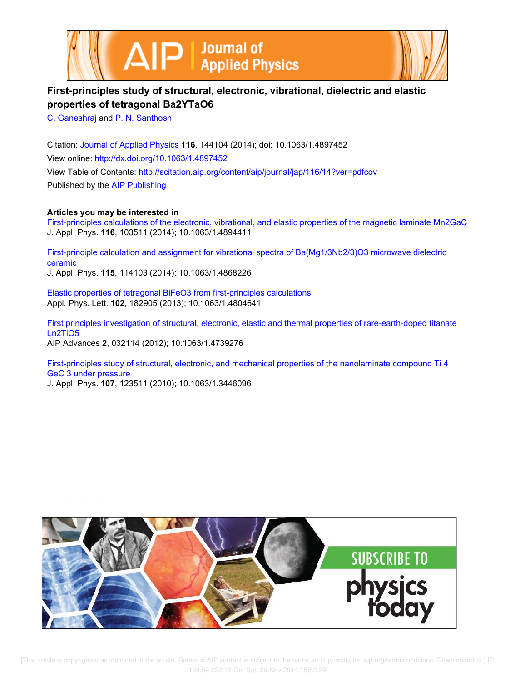



# **First-principles study of structural, electronic, vibrational, dielectric and elastic properties of tetragonal Ba2YTaO6**

C. Ganeshraj and P. N. Santhosh

Citation: Journal of Applied Physics **116**, 144104 (2014); doi: 10.1063/1.4897452 View online: http://dx.doi.org/10.1063/1.4897452 View Table of Contents: http://scitation.aip.org/content/aip/journal/jap/116/14?ver=pdfcov Published by the AIP Publishing

**Articles you may be interested in**

First-principles calculations of the electronic, vibrational, and elastic properties of the magnetic laminate Mn2GaC J. Appl. Phys. **116**, 103511 (2014); 10.1063/1.4894411

First-principle calculation and assignment for vibrational spectra of Ba(Mg1/3Nb2/3)O3 microwave dielectric ceramic J. Appl. Phys. **115**, 114103 (2014); 10.1063/1.4868226

Elastic properties of tetragonal BiFeO3 from first-principles calculations Appl. Phys. Lett. **102**, 182905 (2013); 10.1063/1.4804641

First principles investigation of structural, electronic, elastic and thermal properties of rare-earth-doped titanate Ln2TiO5 AIP Advances **2**, 032114 (2012); 10.1063/1.4739276

First-principles study of structural, electronic, and mechanical properties of the nanolaminate compound Ti 4 GeC 3 under pressure

J. Appl. Phys. **107**, 123511 (2010); 10.1063/1.3446096

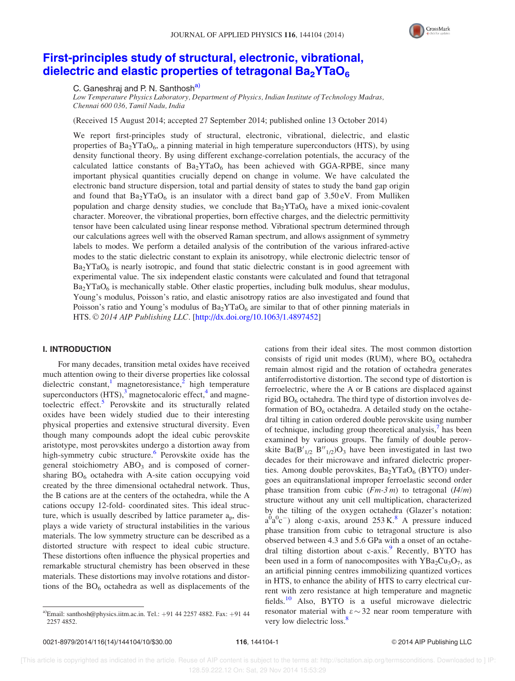

## First-principles study of structural, electronic, vibrational, dielectric and elastic properties of tetragonal  $Ba<sub>2</sub>YTaO<sub>6</sub>$

C. Ganeshraj and P. N. Santhosh<sup>a)</sup>

Low Temperature Physics Laboratory, Department of Physics, Indian Institute of Technology Madras, Chennai 600 036, Tamil Nadu, India

(Received 15 August 2014; accepted 27 September 2014; published online 13 October 2014)

We report first-principles study of structural, electronic, vibrational, dielectric, and elastic properties of  $Ba_2YTaO_6$ , a pinning material in high temperature superconductors (HTS), by using density functional theory. By using different exchange-correlation potentials, the accuracy of the calculated lattice constants of  $Ba<sub>2</sub>YTaO<sub>6</sub>$  has been achieved with GGA-RPBE, since many important physical quantities crucially depend on change in volume. We have calculated the electronic band structure dispersion, total and partial density of states to study the band gap origin and found that  $Ba_2YTaO_6$  is an insulator with a direct band gap of 3.50 eV. From Mulliken population and charge density studies, we conclude that  $Ba_2YTaO_6$  have a mixed ionic-covalent character. Moreover, the vibrational properties, born effective charges, and the dielectric permittivity tensor have been calculated using linear response method. Vibrational spectrum determined through our calculations agrees well with the observed Raman spectrum, and allows assignment of symmetry labels to modes. We perform a detailed analysis of the contribution of the various infrared-active modes to the static dielectric constant to explain its anisotropy, while electronic dielectric tensor of  $Ba<sub>2</sub>YTaO<sub>6</sub>$  is nearly isotropic, and found that static dielectric constant is in good agreement with experimental value. The six independent elastic constants were calculated and found that tetragonal  $Ba<sub>2</sub>YTaO<sub>6</sub>$  is mechanically stable. Other elastic properties, including bulk modulus, shear modulus, Young's modulus, Poisson's ratio, and elastic anisotropy ratios are also investigated and found that Poisson's ratio and Young's modulus of  $Ba_2YTaO_6$  are similar to that of other pinning materials in HTS. © 2014 AIP Publishing LLC. [http://dx.doi.org/10.1063/1.4897452]

#### I. INTRODUCTION

For many decades, transition metal oxides have received much attention owing to their diverse properties like colossal dielectric constant,<sup>1</sup> magnetoresistance,<sup>2</sup> high temperature superconductors  $(HTS)$ ,<sup>3</sup> magnetocaloric effect,<sup>4</sup> and magnetoelectric effect.<sup>5</sup> Perovskite and its structurally related oxides have been widely studied due to their interesting physical properties and extensive structural diversity. Even though many compounds adopt the ideal cubic perovskite aristotype, most perovskites undergo a distortion away from high-symmetry cubic structure.<sup>6</sup> Perovskite oxide has the general stoichiometry  $ABO<sub>3</sub>$  and is composed of cornersharing  $BO<sub>6</sub>$  octahedra with A-site cation occupying void created by the three dimensional octahedral network. Thus, the B cations are at the centers of the octahedra, while the A cations occupy 12-fold- coordinated sites. This ideal structure, which is usually described by lattice parameter a<sub>p</sub>, displays a wide variety of structural instabilities in the various materials. The low symmetry structure can be described as a distorted structure with respect to ideal cubic structure. These distortions often influence the physical properties and remarkable structural chemistry has been observed in these materials. These distortions may involve rotations and distortions of the  $BO<sub>6</sub>$  octahedra as well as displacements of the cations from their ideal sites. The most common distortion consists of rigid unit modes (RUM), where  $BO<sub>6</sub>$  octahedra remain almost rigid and the rotation of octahedra generates antiferrodistortive distortion. The second type of distortion is ferroelectric, where the A or B cations are displaced against rigid  $BO<sub>6</sub>$  octahedra. The third type of distortion involves deformation of  $BO_6$  octahedra. A detailed study on the octahedral tilting in cation ordered double perovskite using number of technique, including group theoretical analysis, $\bar{y}$  has been examined by various groups. The family of double perovskite  $Ba(B'_{1/2} B''_{1/2})O_3$  have been investigated in last two decades for their microwave and infrared dielectric properties. Among double perovskites,  $Ba_2YTaO_6$  (BYTO) undergoes an equitranslational improper ferroelastic second order phase transition from cubic  $(Fm-3m)$  to tetragonal  $(I4/m)$ structure without any unit cell multiplication, characterized by the tilting of the oxygen octahedra (Glazer's notation:  $a^{0}a^{0}c^{-}$ ) along c-axis, around 253 K.<sup>8</sup> A pressure induced phase transition from cubic to tetragonal structure is also observed between 4.3 and 5.6 GPa with a onset of an octahedral tilting distortion about c-axis.<sup>9</sup> Recently, BYTO has been used in a form of nanocomposites with  $YBa<sub>2</sub>Cu<sub>3</sub>O<sub>7</sub>$ , as an artificial pinning centres immobilizing quantized vortices in HTS, to enhance the ability of HTS to carry electrical current with zero resistance at high temperature and magnetic fields.<sup>10</sup> Also, BYTO is a useful microwave dielectric resonator material with  $\varepsilon \sim 32$  near room temperature with very low dielectric loss.<sup>8</sup>

<sup>&</sup>lt;sup>a)</sup>Email: santhosh@physics.iitm.ac.in. Tel.:  $+91$  44 2257 4882. Fax:  $+91$  44 2257 4852.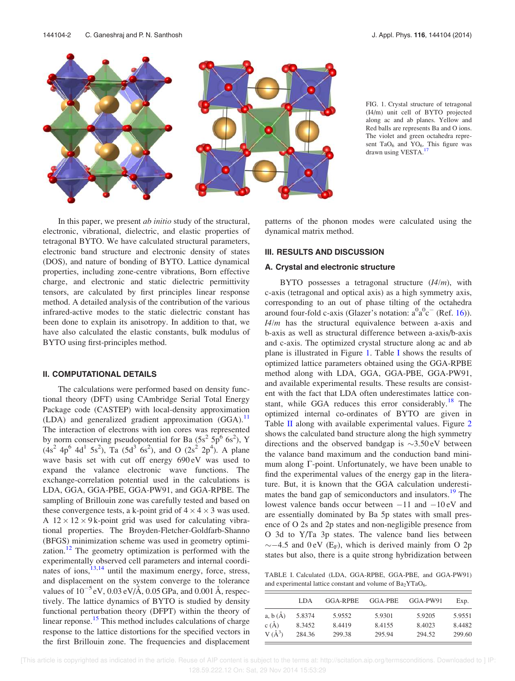

FIG. 1. Crystal structure of tetragonal (I4/m) unit cell of BYTO projected along ac and ab planes. Yellow and Red balls are represents Ba and O ions. The violet and green octahedra represent  $TaO_6$  and  $YO_6$ . This figure was drawn using VESTA.<sup>17</sup>

In this paper, we present *ab initio* study of the structural, electronic, vibrational, dielectric, and elastic properties of tetragonal BYTO. We have calculated structural parameters, electronic band structure and electronic density of states (DOS), and nature of bonding of BYTO. Lattice dynamical properties, including zone-centre vibrations, Born effective charge, and electronic and static dielectric permittivity tensors, are calculated by first principles linear response method. A detailed analysis of the contribution of the various infrared-active modes to the static dielectric constant has been done to explain its anisotropy. In addition to that, we have also calculated the elastic constants, bulk modulus of BYTO using first-principles method.

#### II. COMPUTATIONAL DETAILS

The calculations were performed based on density functional theory (DFT) using CAmbridge Serial Total Energy Package code (CASTEP) with local-density approximation (LDA) and generalized gradient approximation  $(GGA)$ . The interaction of electrons with ion cores was represented by norm conserving pseudopotential for Ba  $(5s^2 5p^6 6s^2)$ , Y  $(4s<sup>2</sup> 4p<sup>6</sup> 4d<sup>1</sup> 5s<sup>2</sup>), Ta (5d<sup>3</sup> 6s<sup>2</sup>), and O (2s<sup>2</sup> 2p<sup>4</sup>). A plane$ wave basis set with cut off energy 690 eV was used to expand the valance electronic wave functions. The exchange-correlation potential used in the calculations is LDA, GGA, GGA-PBE, GGA-PW91, and GGA-RPBE. The sampling of Brillouin zone was carefully tested and based on these convergence tests, a k-point grid of  $4 \times 4 \times 3$  was used. A  $12 \times 12 \times 9$  k-point grid was used for calculating vibrational properties. The Broyden-Fletcher-Goldfarb-Shanno (BFGS) minimization scheme was used in geometry optimization.<sup>12</sup> The geometry optimization is performed with the experimentally observed cell parameters and internal coordinates of ions,  $13,14$  until the maximum energy, force, stress, and displacement on the system converge to the tolerance values of  $10^{-5}$  eV, 0.03 eV/Å, 0.05 GPa, and 0.001 Å, respectively. The lattice dynamics of BYTO is studied by density functional perturbation theory (DFPT) within the theory of linear reponse.<sup>15</sup> This method includes calculations of charge response to the lattice distortions for the specified vectors in the first Brillouin zone. The frequencies and displacement patterns of the phonon modes were calculated using the dynamical matrix method.

#### III. RESULTS AND DISCUSSION

#### A. Crystal and electronic structure

BYTO possesses a tetragonal structure  $(I4/m)$ , with c-axis (tetragonal and optical axis) as a high symmetry axis, corresponding to an out of phase tilting of the octahedra around four-fold c-axis (Glazer's notation:  $a^0a^0c^-$  (Ref. 16)).  $I4/m$  has the structural equivalence between a-axis and b-axis as well as structural difference between a-axis/b-axis and c-axis. The optimized crystal structure along ac and ab plane is illustrated in Figure 1. Table I shows the results of optimized lattice parameters obtained using the GGA-RPBE method along with LDA, GGA, GGA-PBE, GGA-PW91, and available experimental results. These results are consistent with the fact that LDA often underestimates lattice constant, while GGA reduces this error considerably.<sup>18</sup> The optimized internal co-ordinates of BYTO are given in Table II along with available experimental values. Figure 2 shows the calculated band structure along the high symmetry directions and the observed bandgap is  $\sim$ 3.50 eV between the valance band maximum and the conduction band minimum along  $\Gamma$ -point. Unfortunately, we have been unable to find the experimental values of the energy gap in the literature. But, it is known that the GGA calculation underestimates the band gap of semiconductors and insulators.<sup>19</sup> The lowest valence bands occur between  $-11$  and  $-10 \text{ eV}$  and are essentially dominated by Ba 5p states with small presence of O 2s and 2p states and non-negligible presence from O 3d to Y/Ta 3p states. The valence band lies between  $\sim$  -4.5 and 0 eV (E<sub>F</sub>), which is derived mainly from O 2p states but also, there is a quite strong hybridization between

TABLE I. Calculated (LDA, GGA-RPBE, GGA-PBE, and GGA-PW91) and experimental lattice constant and volume of  $Ba<sub>2</sub>YTaO<sub>6</sub>$ .

|            | LDA.   | GGA-RPBE | GGA-PBE | GGA-PW91 | Exp.   |
|------------|--------|----------|---------|----------|--------|
| a, b(A)    | 5.8374 | 5.9552   | 5.9301  | 5.9205   | 5.9551 |
| $c(\AA)$   | 8.3452 | 8.4419   | 8.4155  | 8.4023   | 8.4482 |
| $V(\AA^3)$ | 284.36 | 299.38   | 295.94  | 294.52   | 299.60 |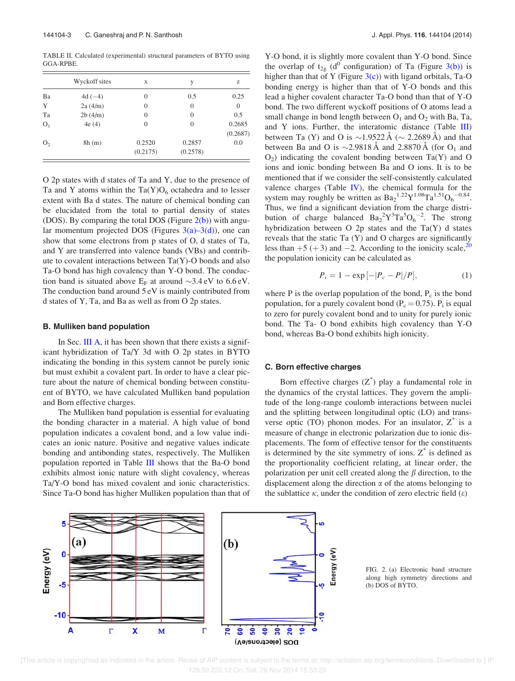TABLE II. Calculated (experimental) structural parameters of BYTO using GGA-RPBE.

|                | Wyckoff sites | X                  | y                  | Z                  |
|----------------|---------------|--------------------|--------------------|--------------------|
| Ba             | $4d(-4)$      | $\Omega$           | 0.5                | 0.25               |
| Y              | 2a(4/m)       | $\Omega$           | $\overline{0}$     | $\overline{0}$     |
| Ta             | 2b(4/m)       | $\Omega$           | $\theta$           | 0.5                |
| O <sub>1</sub> | 4e(4)         | $\Omega$           | $\Omega$           | 0.2685<br>(0.2687) |
| O <sub>2</sub> | 8h(m)         | 0.2520<br>(0.2175) | 0.2857<br>(0.2578) | 0.0                |

O 2p states with d states of Ta and Y, due to the presence of Ta and Y atoms within the  $Ta(Y)O_6$  octahedra and to lesser extent with Ba d states. The nature of chemical bonding can be elucidated from the total to partial density of states (DOS). By comparing the total DOS (Figure  $2(b)$ ) with angular momentum projected DOS (Figures  $3(a)-3(d)$ ), one can show that some electrons from p states of O, d states of Ta, and Y are transferred into valence bands (VBs) and contribute to covalent interactions between Ta(Y)-O bonds and also Ta-O bond has high covalency than Y-O bond. The conduction band is situated above  $E_F$  at around  $\sim$ 3.4 eV to 6.6 eV. The conduction band around 5 eV is mainly contributed from d states of Y, Ta, and Ba as well as from O 2p states.

#### B. Mulliken band population

In Sec. III A, it has been shown that there exists a significant hybridization of Ta/Y 3d with O 2p states in BYTO indicating the bonding in this system cannot be purely ionic but must exhibit a covalent part. In order to have a clear picture about the nature of chemical bonding between constituent of BYTO, we have calculated Mulliken band population and Born effective charges.

The Mulliken band population is essential for evaluating the bonding character in a material. A high value of bond population indicates a covalent bond, and a low value indicates an ionic nature. Positive and negative values indicate bonding and antibonding states, respectively. The Mulliken population reported in Table III shows that the Ba-O bond exhibits almost ionic nature with slight covalency, whereas Ta/Y-O bond has mixed covalent and ionic characteristics. Since Ta-O bond has higher Mulliken population than that of Y-O bond, it is slightly more covalent than Y-O bond. Since the overlap of  $t_{2g}$  (d<sup>0</sup> configuration) of Ta (Figure 3(b)) is higher than that of Y (Figure  $3(c)$ ) with ligand orbitals, Ta-O bonding energy is higher than that of Y-O bonds and this lead a higher covalent character Ta-O bond than that of Y-O bond. The two different wyckoff positions of O atoms lead a small change in bond length between  $O_1$  and  $O_2$  with Ba, Ta, and Y ions. Further, the interatomic distance (Table III) between Ta (Y) and O is  $\sim$ 1.9522 Å ( $\sim$  2.2689 Å) and that between Ba and O is  $\sim$ 2.9818 Å and 2.8870 Å (for O<sub>1</sub> and  $O_2$ ) indicating the covalent bonding between Ta(Y) and O ions and ionic bonding between Ba and O ions. It is to be mentioned that if we consider the self-consistently calculated valence charges (Table IV), the chemical formula for the system may roughly be written as  $Ba_2^{1.22}Y^{1.08}Ta^{1.51}O_6^{-0.84}$ . Thus, we find a significant deviation from the charge distribution of charge balanced  $Ba_2^2Y^3Ta^5O_6^{-2}$ . The strong hybridization between O 2p states and the Ta(Y) d states reveals that the static Ta (Y) and O charges are significantly less than  $+5$  ( $+3$ ) and  $-2$ . According to the ionicity scale,<sup>20</sup> the population ionicity can be calculated as

$$
P_i = 1 - \exp[-|P_c - P|/P], \tag{1}
$$

where  $P$  is the overlap population of the bond,  $P_c$  is the bond population, for a purely covalent bond ( $P_c = 0.75$ ).  $P_i$  is equal to zero for purely covalent bond and to unity for purely ionic bond. The Ta- O bond exhibits high covalency than Y-O bond, whereas Ba-O bond exhibits high ionicity.

#### C. Born effective charges

Born effective charges  $(Z^*)$  play a fundamental role in the dynamics of the crystal lattices. They govern the amplitude of the long-range coulomb interactions between nuclei and the splitting between longitudinal optic (LO) and transverse optic (TO) phonon modes. For an insulator,  $Z^*$  is a measure of change in electronic polarization due to ionic displacements. The form of effective tensor for the constituents is determined by the site symmetry of ions.  $Z^*$  is defined as the proportionality coefficient relating, at linear order, the polarization per unit cell created along the  $\beta$  direction, to the displacement along the direction  $\alpha$  of the atoms belonging to the sublattice  $\kappa$ , under the condition of zero electric field  $(\varepsilon)$ 



FIG. 2. (a) Electronic band structure along high symmetry directions and (b) DOS of BYTO.

 [This article is copyrighted as indicated in the article. Reuse of AIP content is subject to the terms at: http://scitation.aip.org/termsconditions. Downloaded to ] IP: 128.59.222.12 On: Sat, 29 Nov 2014 15:53:29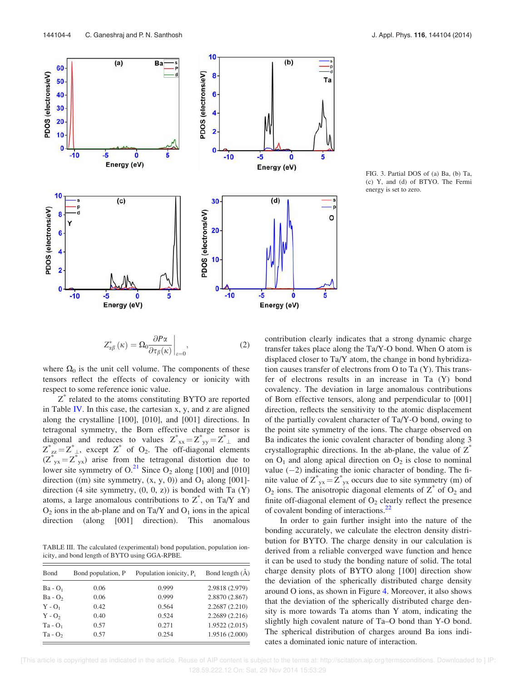

FIG. 3. Partial DOS of (a) Ba, (b) Ta, (c) Y, and (d) of BTYO. The Fermi energy is set to zero.

$$
Z_{\alpha\beta}^*(\kappa) = \Omega_0 \frac{\partial P \alpha}{\partial \tau_\beta(\kappa)} \bigg|_{\varepsilon=0},\tag{2}
$$

where  $\Omega_0$  is the unit cell volume. The components of these tensors reflect the effects of covalency or ionicity with respect to some reference ionic value.

 $Z^*$  related to the atoms constituting BYTO are reported in Table IV. In this case, the cartesian x, y, and z are aligned along the crystalline [100], [010], and [001] directions. In tetragonal symmetry, the Born effective charge tensor is diagonal and reduces to values  $Z^*_{xx} = Z^*_{yy} = Z^*_{\perp}$  and  $Z_{z}^{*} = Z_{\perp}^{*}$ , except  $Z^{*}$  of  $O_{2}$ . The off-diagonal elements  $(Z^*_{yx} = Z^*_{yx})$  arise from the tetragonal distortion due to lower site symmetry of  $O<sup>21</sup>$  Since  $O<sub>2</sub>$  along [100] and [010] direction ((m) site symmetry,  $(x, y, 0)$ ) and  $O_1$  along [001]direction  $(4 \text{ site symmetry}, (0, 0, z))$  is bonded with Ta  $(Y)$ atoms, a large anomalous contributions to  $Z^*$ , on Ta/Y and  $O_2$  ions in the ab-plane and on Ta/Y and  $O_1$  ions in the apical direction (along [001] direction). This anomalous

TABLE III. The calculated (experimental) bond population, population ionicity, and bond length of BYTO using GGA-RPBE.

| <b>B</b> ond | Bond population, P | Population ionicity, P. | Bond length $(A)$ |
|--------------|--------------------|-------------------------|-------------------|
| $Ba - O1$    | 0.06               | 0.999                   | 2.9818 (2.979)    |
| $Ba - O2$    | 0.06               | 0.999                   | 2.8870 (2.867)    |
| $Y - Q_1$    | 0.42               | 0.564                   | 2.2687 (2.210)    |
| $Y - Q_2$    | 0.40               | 0.524                   | 2.2689 (2.216)    |
| $Ta - O_1$   | 0.57               | 0.271                   | 1.9522 (2.015)    |
| Ta - $O2$    | 0.57               | 0.254                   | 1.9516 (2.000)    |

contribution clearly indicates that a strong dynamic charge transfer takes place along the Ta/Y-O bond. When O atom is displaced closer to Ta/Y atom, the change in bond hybridization causes transfer of electrons from O to Ta (Y). This transfer of electrons results in an increase in Ta (Y) bond covalency. The deviation in large anomalous contributions of Born effective tensors, along and perpendicular to [001] direction, reflects the sensitivity to the atomic displacement of the partially covalent character of Ta/Y-O bond, owing to the point site symmetry of the ions. The charge observed on Ba indicates the ionic covalent character of bonding along 3 crystallographic directions. In the ab-plane, the value of  $Z^*$ on  $O_1$  and along apical direction on  $O_2$  is close to nominal value  $(-2)$  indicating the ionic character of bonding. The finite value of  $Z^*_{yx} = Z^*_{yx}$  occurs due to site symmetry (m) of  $O_2$  ions. The anisotropic diagonal elements of  $Z^*$  of  $O_2$  and finite off-diagonal element of  $O<sub>2</sub>$  clearly reflect the presence of covalent bonding of interactions.<sup>22</sup>

In order to gain further insight into the nature of the bonding accurately, we calculate the electron density distribution for BYTO. The charge density in our calculation is derived from a reliable converged wave function and hence it can be used to study the bonding nature of solid. The total charge density plots of BYTO along [100] direction show the deviation of the spherically distributed charge density around O ions, as shown in Figure 4. Moreover, it also shows that the deviation of the spherically distributed charge density is more towards Ta atoms than Y atom, indicating the slightly high covalent nature of Ta–O bond than Y-O bond. The spherical distribution of charges around Ba ions indicates a dominated ionic nature of interaction.

 [This article is copyrighted as indicated in the article. Reuse of AIP content is subject to the terms at: http://scitation.aip.org/termsconditions. Downloaded to ] IP: 128.59.222.12 On: Sat, 29 Nov 2014 15:53:29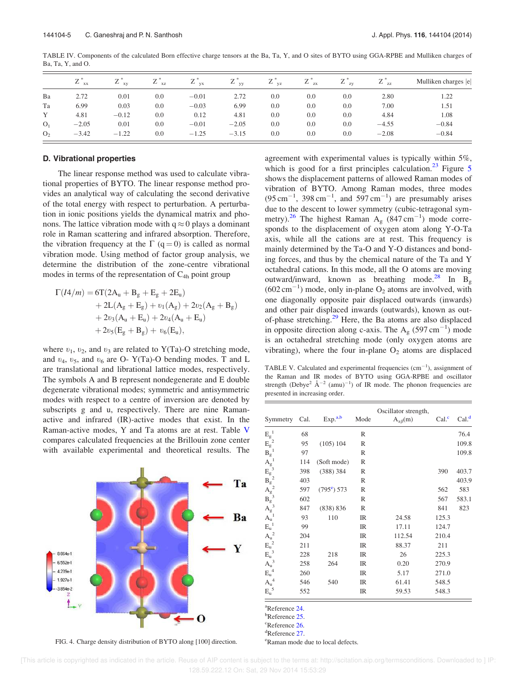|                | $Z^*_{xx}$ | $Z^*_{xy}$ | <b>XZ</b> | <b>VX</b> | $Z^*_{yy}$ | ∠<br>VZ | $Z^*_{zx}$ | $Z^*_{zy}$ | 77<br>∠ | Mulliken charges  e |
|----------------|------------|------------|-----------|-----------|------------|---------|------------|------------|---------|---------------------|
| Ba             | 2.72       | 0.01       | 0.0       | $-0.01$   | 2.72       | 0.0     | 0.0        | 0.0        | 2.80    | 1.22                |
| Ta             | 6.99       | 0.03       | 0.0       | $-0.03$   | 6.99       | 0.0     | 0.0        | 0.0        | 7.00    | 1.51                |
| Y              | 4.81       | $-0.12$    | 0.0       | 0.12      | 4.81       | 0.0     | 0.0        | 0.0        | 4.84    | 1.08                |
| O <sub>1</sub> | $-2.05$    | 0.01       | 0.0       | $-0.01$   | $-2.05$    | 0.0     | 0.0        | 0.0        | $-4.55$ | $-0.84$             |
| O <sub>2</sub> | $-3.42$    | $-1.22$    | 0.0       | $-1.25$   | $-3.15$    | 0.0     | 0.0        | 0.0        | $-2.08$ | $-0.84$             |

TABLE IV. Components of the calculated Born effective charge tensors at the Ba, Ta, Y, and O sites of BYTO using GGA-RPBE and Mulliken charges of Ba, Ta, Y, and O.

#### D. Vibrational properties

The linear response method was used to calculate vibrational properties of BYTO. The linear response method provides an analytical way of calculating the second derivative of the total energy with respect to perturbation. A perturbation in ionic positions yields the dynamical matrix and phonons. The lattice vibration mode with  $q \approx 0$  plays a dominant role in Raman scattering and infrared absorption. Therefore, the vibration frequency at the  $\Gamma$  (q = 0) is called as normal vibration mode. Using method of factor group analysis, we determine the distribution of the zone-centre vibrational modes in terms of the representation of  $C_{4h}$  point group

$$
\begin{aligned} \Gamma(I4/m) = &6T(2A_u+B_g+E_g+2E_u) \\ &+2L(A_g+E_g)+\upsilon_1(A_g)+2\upsilon_2(A_g+B_g) \\ &+2\upsilon_3(A_u+E_u)+2\upsilon_4(A_u+E_u) \\ &+2\upsilon_5(E_g+B_g)+\upsilon_6(E_u), \end{aligned}
$$

where  $v_1$ ,  $v_2$ , and  $v_3$  are related to Y(Ta)-O stretching mode, and  $v_4$ ,  $v_5$ , and  $v_6$  are O- Y(Ta)-O bending modes. T and L are translational and librational lattice modes, respectively. The symbols A and B represent nondegenerate and E double degenerate vibrational modes; symmetric and antisymmetric modes with respect to a centre of inversion are denoted by subscripts g and u, respectively. There are nine Ramanactive and infrared (IR)-active modes that exist. In the Raman-active modes, Y and Ta atoms are at rest. Table V compares calculated frequencies at the Brillouin zone center with available experimental and theoretical results. The

Ta Ba Y  $3.864<sub>e</sub>$ 6.552e-1 4.239e-1 1.927e-1  $-3.854e-2$ O

FIG. 4. Charge density distribution of BYTO along [100] direction.

agreement with experimental values is typically within 5%, which is good for a first principles calculation. $^{23}$  Figure 5 shows the displacement patterns of allowed Raman modes of vibration of BYTO. Among Raman modes, three modes  $(95 \text{ cm}^{-1}, 398 \text{ cm}^{-1}, \text{ and } 597 \text{ cm}^{-1})$  are presumably arises due to the descent to lower symmetry (cubic-tetragonal symmetry).<sup>26</sup> The highest Raman A<sub>g</sub> (847 cm<sup>-1</sup>) mode corresponds to the displacement of oxygen atom along Y-O-Ta axis, while all the cations are at rest. This frequency is mainly determined by the Ta-O and Y-O distances and bonding forces, and thus by the chemical nature of the Ta and Y octahedral cations. In this mode, all the O atoms are moving outward/inward, known as breathing mode.<sup>28</sup> In  $B_{\varphi}$  $(602 \text{ cm}^{-1})$  mode, only in-plane O<sub>2</sub> atoms are involved, with one diagonally opposite pair displaced outwards (inwards) and other pair displaced inwards (outwards), known as outof-phase stretching.<sup>29</sup> Here, the Ba atoms are also displaced in opposite direction along c-axis. The A<sub>g</sub> (597 cm<sup>-1</sup>) mode is an octahedral stretching mode (only oxygen atoms are vibrating), where the four in-plane  $O_2$  atoms are displaced

TABLE V. Calculated and experimental frequencies  $(cm<sup>-1</sup>)$ , assignment of the Raman and IR modes of BYTO using GGA-RPBE and oscillator strength (Debye<sup>2</sup>  $\rm \AA^{-2}$  (amu)<sup>-1</sup>) of IR mode. The phonon frequencies are presented in increasing order.

| $E_g^1$<br>68<br>R<br>$E_g^2$<br>$(105)$ 104<br>95<br>R<br>$B_g^1$<br>97<br>R<br>$A_g^{-1}$<br>$B_g^{-3}$<br>$B_g^{-2}$<br>$A_g^{-2}$<br>$B_g^{-3}$<br>114<br>(Soft mode)<br>R<br>398<br>(388) 384<br>390<br>R<br>403<br>R<br>$(795^{\circ})$ 573<br>597<br>562<br>R<br>602<br>567<br>R<br>$A_g^{\circ 3}$<br>$A_u^{\circ 1}$<br>(838) 836<br>841<br>847<br>R<br>93<br>110<br>IR<br>125.3<br>24.58<br>$E_u^1$<br>99<br>IR<br>17.11<br>124.7<br>$A_u^2$<br>204<br>IR<br>210.4<br>112.54<br>$E_u^2$<br>IR<br>211<br>88.37<br>211<br>$E_u^2$<br>228<br>218<br>IR<br>26<br>225.3<br>$A_u^3$<br>258<br>264<br>IR<br>0.20<br>270.9<br>$E_u^4$<br>260<br>IR<br>5.17<br>271.0 | Symmetry | Cal. | Exp. <sup>a,b</sup> | Mode | Oscillator strength,<br>$A_{\alpha\beta}(m)$ | Cal <sup>c</sup> | Cal. <sup>d</sup> |
|-----------------------------------------------------------------------------------------------------------------------------------------------------------------------------------------------------------------------------------------------------------------------------------------------------------------------------------------------------------------------------------------------------------------------------------------------------------------------------------------------------------------------------------------------------------------------------------------------------------------------------------------------------------------------|----------|------|---------------------|------|----------------------------------------------|------------------|-------------------|
|                                                                                                                                                                                                                                                                                                                                                                                                                                                                                                                                                                                                                                                                       |          |      |                     |      |                                              |                  | 76.4              |
|                                                                                                                                                                                                                                                                                                                                                                                                                                                                                                                                                                                                                                                                       |          |      |                     |      |                                              |                  | 109.8             |
|                                                                                                                                                                                                                                                                                                                                                                                                                                                                                                                                                                                                                                                                       |          |      |                     |      |                                              |                  | 109.8             |
|                                                                                                                                                                                                                                                                                                                                                                                                                                                                                                                                                                                                                                                                       |          |      |                     |      |                                              |                  |                   |
|                                                                                                                                                                                                                                                                                                                                                                                                                                                                                                                                                                                                                                                                       |          |      |                     |      |                                              |                  | 403.7             |
|                                                                                                                                                                                                                                                                                                                                                                                                                                                                                                                                                                                                                                                                       |          |      |                     |      |                                              |                  | 403.9             |
|                                                                                                                                                                                                                                                                                                                                                                                                                                                                                                                                                                                                                                                                       |          |      |                     |      |                                              |                  | 583               |
|                                                                                                                                                                                                                                                                                                                                                                                                                                                                                                                                                                                                                                                                       |          |      |                     |      |                                              |                  | 583.1             |
|                                                                                                                                                                                                                                                                                                                                                                                                                                                                                                                                                                                                                                                                       |          |      |                     |      |                                              |                  | 823               |
|                                                                                                                                                                                                                                                                                                                                                                                                                                                                                                                                                                                                                                                                       |          |      |                     |      |                                              |                  |                   |
|                                                                                                                                                                                                                                                                                                                                                                                                                                                                                                                                                                                                                                                                       |          |      |                     |      |                                              |                  |                   |
|                                                                                                                                                                                                                                                                                                                                                                                                                                                                                                                                                                                                                                                                       |          |      |                     |      |                                              |                  |                   |
|                                                                                                                                                                                                                                                                                                                                                                                                                                                                                                                                                                                                                                                                       |          |      |                     |      |                                              |                  |                   |
|                                                                                                                                                                                                                                                                                                                                                                                                                                                                                                                                                                                                                                                                       |          |      |                     |      |                                              |                  |                   |
|                                                                                                                                                                                                                                                                                                                                                                                                                                                                                                                                                                                                                                                                       |          |      |                     |      |                                              |                  |                   |
|                                                                                                                                                                                                                                                                                                                                                                                                                                                                                                                                                                                                                                                                       |          |      |                     |      |                                              |                  |                   |
|                                                                                                                                                                                                                                                                                                                                                                                                                                                                                                                                                                                                                                                                       | $A_u^4$  | 546  | 540                 | IR   | 61.41                                        | 548.5            |                   |
| $E_u^{\ 5}$<br>552<br>IR<br>59.53<br>548.3                                                                                                                                                                                                                                                                                                                                                                                                                                                                                                                                                                                                                            |          |      |                     |      |                                              |                  |                   |

<sup>a</sup>Reference 24.

<sup>b</sup>Reference 25.

<sup>c</sup>Reference 26. <sup>d</sup>Reference 27.

<sup>e</sup>Raman mode due to local defects.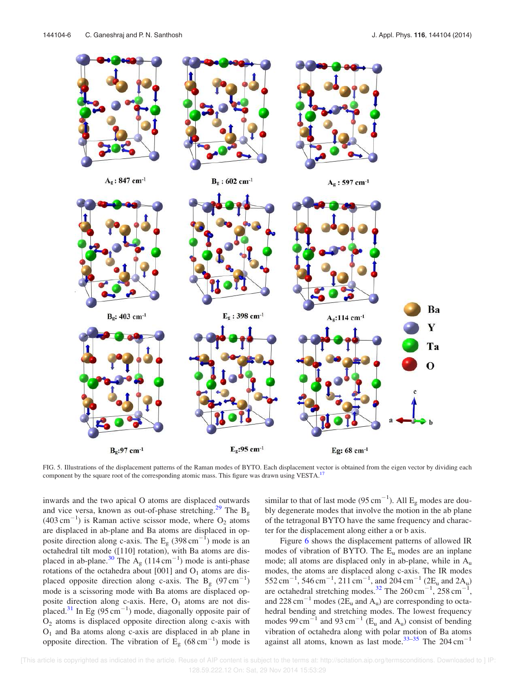

FIG. 5. Illustrations of the displacement patterns of the Raman modes of BYTO. Each displacement vector is obtained from the eigen vector by dividing each component by the square root of the corresponding atomic mass. This figure was drawn using VESTA.<sup>17</sup>

inwards and the two apical O atoms are displaced outwards and vice versa, known as out-of-phase stretching.<sup>29</sup> The B<sub>g</sub>  $(403 \text{ cm}^{-1})$  is Raman active scissor mode, where O<sub>2</sub> atoms are displaced in ab-plane and Ba atoms are displaced in opposite direction along c-axis. The  $E<sub>g</sub>$  (398 cm<sup>-1</sup>) mode is an octahedral tilt mode ([110] rotation), with Ba atoms are displaced in ab-plane.<sup>30</sup> The  $A<sub>g</sub>$  (114 cm<sup>-1</sup>) mode is anti-phase rotations of the octahedra about  $[001]$  and  $O<sub>1</sub>$  atoms are displaced opposite direction along c-axis. The B<sub>g</sub>  $(97 \text{ cm}^{-1})$ mode is a scissoring mode with Ba atoms are displaced opposite direction along c-axis. Here,  $O<sub>1</sub>$  atoms are not displaced.<sup>31</sup> In Eg (95 cm<sup>-1</sup>) mode, diagonally opposite pair of  $O<sub>2</sub>$  atoms is displaced opposite direction along c-axis with  $O<sub>1</sub>$  and Ba atoms along c-axis are displaced in ab plane in opposite direction. The vibration of  $\overline{E}_g$  (68 cm<sup>-1</sup>) mode is

similar to that of last mode (95 cm<sup>-1</sup>). All  $E<sub>g</sub>$  modes are doubly degenerate modes that involve the motion in the ab plane of the tetragonal BYTO have the same frequency and character for the displacement along either a or b axis.

Figure 6 shows the displacement patterns of allowed IR modes of vibration of BYTO. The  $E_u$  modes are an inplane mode; all atoms are displaced only in ab-plane, while in A<sup>u</sup> modes, the atoms are displaced along c-axis. The IR modes  $552 \text{ cm}^{-1}$ ,  $546 \text{ cm}^{-1}$ ,  $211 \text{ cm}^{-1}$ , and  $204 \text{ cm}^{-1}$  ( $2E_u$  and  $2A_u$ ) are octahedral stretching modes.<sup>32</sup> The  $260 \text{ cm}^{-1}$ ,  $258 \text{ cm}^{-1}$ , and 228 cm<sup>-1</sup> modes ( $2E_u$  and  $A_u$ ) are corresponding to octahedral bending and stretching modes. The lowest frequency modes 99 cm<sup>-1</sup> and 93 cm<sup>-1</sup> ( $E_u$  and  $A_u$ ) consist of bending vibration of octahedra along with polar motion of Ba atoms against all atoms, known as last mode.<sup>33-35</sup> The  $204 \text{ cm}^{-1}$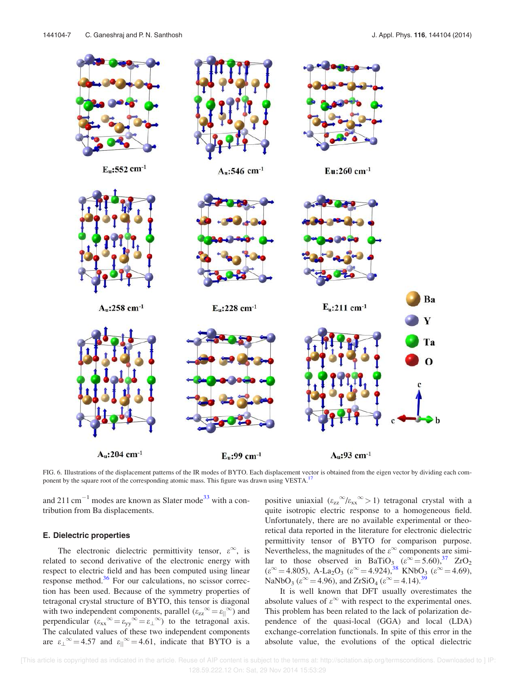

FIG. 6. Illustrations of the displacement patterns of the IR modes of BYTO. Each displacement vector is obtained from the eigen vector by dividing each component by the square root of the corresponding atomic mass. This figure was drawn using VESTA.<sup>1</sup>

and 211  $\text{cm}^{-1}$  modes are known as Slater mode<sup>33</sup> with a contribution from Ba displacements.

#### E. Dielectric properties

The electronic dielectric permittivity tensor,  $\varepsilon^{\infty}$ , is related to second derivative of the electronic energy with respect to electric field and has been computed using linear response method.<sup>36</sup> For our calculations, no scissor correction has been used. Because of the symmetry properties of tetragonal crystal structure of BYTO, this tensor is diagonal with two independent components, parallel  $(\varepsilon_{zz}^{\infty} = \varepsilon_{||}^{\infty})$  and perpendicular  $(\varepsilon_{xx}{}^{\infty} = \varepsilon_{yy}{}^{\infty} = \varepsilon_{\perp}{}^{\infty})$  to the tetragonal axis. The calculated values of these two independent components are  $\varepsilon_{\perp}^{\infty} = 4.57$  and  $\varepsilon_{\parallel}^{\infty} = 4.61$ , indicate that BYTO is a

positive uniaxial  $(\epsilon_{zz}^{\infty}/\epsilon_{xx}^{\infty})$  tetragonal crystal with a quite isotropic electric response to a homogeneous field. Unfortunately, there are no available experimental or theoretical data reported in the literature for electronic dielectric permittivity tensor of BYTO for comparison purpose. Nevertheless, the magnitudes of the  $\varepsilon^{\infty}$  components are similar to those observed in BaTiO<sub>3</sub>  $(\varepsilon^{\infty} = 5.60)^{37}$  ZrO<sub>2</sub>  $(\varepsilon^{\infty} = 4.805)$ , A-La<sub>2</sub>O<sub>3</sub>  $(\varepsilon^{\infty} = 4.924)$ ,<sup>38</sup> KNbO<sub>3</sub>  $(\varepsilon^{\infty} = 4.69)$ , NaNbO<sub>3</sub> ( $\varepsilon^{\infty}$  = 4.96), and ZrSiO<sub>4</sub> ( $\varepsilon^{\infty}$  = 4.14).<sup>39</sup>

It is well known that DFT usually overestimates the absolute values of  $\varepsilon^{\infty}$  with respect to the experimental ones. This problem has been related to the lack of polarization dependence of the quasi-local (GGA) and local (LDA) exchange-correlation functionals. In spite of this error in the absolute value, the evolutions of the optical dielectric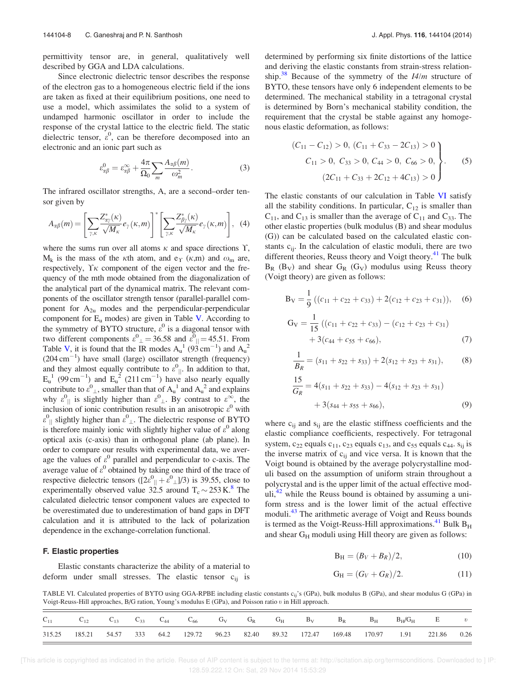permittivity tensor are, in general, qualitatively well described by GGA and LDA calculations.

Since electronic dielectric tensor describes the response of the electron gas to a homogeneous electric field if the ions are taken as fixed at their equilibrium positions, one need to use a model, which assimilates the solid to a system of undamped harmonic oscillator in order to include the response of the crystal lattice to the electric field. The static dielectric tensor,  $\varepsilon^0$ , can be therefore decomposed into an electronic and an ionic part such as

$$
\varepsilon_{\alpha\beta}^0 = \varepsilon_{\alpha\beta}^\infty + \frac{4\pi}{\Omega_0} \sum_m \frac{A_{\alpha\beta}(m)}{\omega_m^2}.
$$
 (3)

The infrared oscillator strengths, A, are a second–order tensor given by

$$
A_{\alpha\beta}(m) = \left[\sum_{\gamma,\kappa} \frac{Z_{\alpha\gamma}^*(\kappa)}{\sqrt{M_{\kappa}}} e_{\gamma}(\kappa, m)\right]^* \left[\sum_{\gamma,\kappa} \frac{Z_{\beta\gamma}^*(\kappa)}{\sqrt{M_{\kappa}}} e_{\gamma}(\kappa, m)\right], (4)
$$

where the sums run over all atoms  $\kappa$  and space directions  $\Upsilon$ ,  $M_k$  is the mass of the  $\kappa$ th atom, and e<sub> $\Upsilon$ </sub> ( $\kappa$ ,m) and  $\omega_m$  are, respectively,  $\Upsilon \kappa$  component of the eigen vector and the frequency of the mth mode obtained from the diagonalization of the analytical part of the dynamical matrix. The relevant components of the oscillator strength tensor (parallel-parallel component for  $A_{2u}$  modes and the perpendicular-perpendicular component for  $E_u$  modes) are given in Table V. According to the symmetry of BYTO structure,  $\varepsilon^0$  is a diagonal tensor with two different components  $\varepsilon^0_{\perp} = 36.58$  and  $\varepsilon^0_{\parallel} = 45.51$ . From Table V, it is found that the IR modes  $A_u^1$  (93 cm<sup>-1</sup>) and  $A_u^2$  $(204 \text{ cm}^{-1})$  have small (large) oscillator strength (frequency) and they almost equally contribute to  $\varepsilon^0_{\parallel}$ . In addition to that,  $E_u^1$  (99 cm<sup>-1</sup>) and  $E_u^2$  (211 cm<sup>-1</sup>) have also nearly equally contribute to  $\varepsilon_{\perp}^0$ , smaller than that of  $A_u^1$  and  $A_u^2$  and explains why  $\varepsilon_{\parallel}^0$  is slightly higher than  $\varepsilon_{\perp}^0$ . By contrast to  $\varepsilon_{\perp}^{\infty}$ , the inclusion of ionic contribution results in an anisotropic  $\varepsilon^0$  with  $\epsilon_{\parallel}^0$  slightly higher than  $\epsilon_{\perp}^0$ . The dielectric response of BYTO is therefore mainly ionic with slightly higher value of  $\varepsilon^0$  along optical axis (c-axis) than in orthogonal plane (ab plane). In order to compare our results with experimental data, we average the values of  $\varepsilon^0$  parallel and perpendicular to c-axis. The average value of  $\varepsilon^0$  obtained by taking one third of the trace of respective dielectric tensors  $([2\varepsilon^0_{\parallel} + \varepsilon^0_{\perp}]/3)$  is 39.55, close to experimentally observed value  $32.5$  around  $T_c \sim 253 \text{ K}$ .<sup>8</sup> The calculated dielectric tensor component values are expected to be overestimated due to underestimation of band gaps in DFT calculation and it is attributed to the lack of polarization dependence in the exchange-correlation functional.

#### F. Elastic properties

Elastic constants characterize the ability of a material to deform under small stresses. The elastic tensor  $c_{ij}$  is determined by performing six finite distortions of the lattice and deriving the elastic constants from strain-stress relationship.<sup>38</sup> Because of the symmetry of the  $I4/m$  structure of BYTO, these tensors have only 6 independent elements to be determined. The mechanical stability in a tetragonal crystal is determined by Born's mechanical stability condition, the requirement that the crystal be stable against any homogenous elastic deformation, as follows:

$$
(C_{11} - C_{12}) > 0, (C_{11} + C_{33} - 2C_{13}) > 0
$$
  
\n
$$
C_{11} > 0, C_{33} > 0, C_{44} > 0, C_{66} > 0,
$$
  
\n
$$
(2C_{11} + C_{33} + 2C_{12} + 4C_{13}) > 0
$$
\n(5)

The elastic constants of our calculation in Table VI satisfy all the stability conditions. In particular,  $C_{12}$  is smaller than  $C_{11}$ , and  $C_{13}$  is smaller than the average of  $C_{11}$  and  $C_{33}$ . The other elastic properties (bulk modulus (B) and shear modulus (G)) can be calculated based on the calculated elastic constants c<sub>ij</sub>. In the calculation of elastic moduli, there are two different theories, Reuss theory and Voigt theory.<sup>41</sup> The bulk  $B_R$  (B<sub>V</sub>) and shear  $G_R$  (G<sub>V</sub>) modulus using Reuss theory (Voigt theory) are given as follows:

$$
B_V = \frac{1}{9} ((c_{11} + c_{22} + c_{33}) + 2(c_{12} + c_{23} + c_{31})),
$$
 (6)

$$
G_V = \frac{1}{15} ((c_{11} + c_{22} + c_{33}) - (c_{12} + c_{23} + c_{31})
$$
  
+ 3(c\_{44} + c\_{55} + c\_{66}), (7)

$$
\frac{1}{B_R} = (s_{11} + s_{22} + s_{33}) + 2(s_{12} + s_{23} + s_{31}),
$$
 (8)

$$
\frac{15}{G_R} = 4(s_{11} + s_{22} + s_{33}) - 4(s_{12} + s_{23} + s_{31})
$$
  
+ 3(s\_{44} + s\_{55} + s\_{66}), (9)

where  $c_{ii}$  and  $s_{ii}$  are the elastic stiffness coefficients and the elastic compliance coefficients, respectively. For tetragonal system,  $c_{22}$  equals  $c_{11}$ ,  $c_{23}$  equals  $c_{13}$ , and  $c_{55}$  equals  $c_{44}$ .  $s_{ij}$  is the inverse matrix of  $c_{ij}$  and vice versa. It is known that the Voigt bound is obtained by the average polycrystalline moduli based on the assumption of uniform strain throughout a polycrystal and is the upper limit of the actual effective moduli, $42$  while the Reuss bound is obtained by assuming a uniform stress and is the lower limit of the actual effective moduli.<sup>43</sup> The arithmetic average of Voigt and Reuss bounds is termed as the Voigt-Reuss-Hill approximations.<sup>41</sup> Bulk  $B_H$ and shear GH moduli using Hill theory are given as follows:

$$
B_H = (B_V + B_R)/2, \t(10)
$$

$$
G_H = (G_V + G_R)/2.
$$
 (11)

TABLE VI. Calculated properties of BYTO using GGA-RPBE including elastic constants c<sub>ij</sub>'s (GPa), bulk modulus B (GPa), and shear modulus G (GPa) in Voigt-Reuss-Hill approaches, B/G ration, Young's modulus E (GPa), and Poisson ratio t in Hill approach.

|        | $C_{12}$ | $C_{13}$  | $C_{33}$ | $C_{44}$ | $C_{66}$ | $G_V$ | $G_R$ | $G_H$ | $B_V$                                | $B_R$ | $B_H$         | $B_H/G_H$ |        | $E$ $v$ |
|--------|----------|-----------|----------|----------|----------|-------|-------|-------|--------------------------------------|-------|---------------|-----------|--------|---------|
| 315.25 | 185.21   | 54.57 333 |          |          |          |       |       |       | 64.2 129.72 96.23 82.40 89.32 172.47 |       | 169.48 170.97 | 1.91      | 221.86 | 0.26    |

 [This article is copyrighted as indicated in the article. Reuse of AIP content is subject to the terms at: http://scitation.aip.org/termsconditions. Downloaded to ] IP: 128.59.222.12 On: Sat, 29 Nov 2014 15:53:29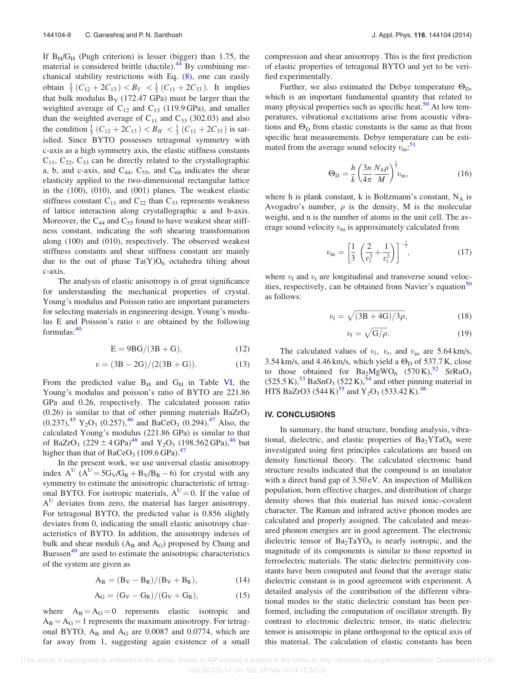If  $B_H/G_H$  (Pugh criterion) is lesser (bigger) than 1.75, the material is considered brittle (ductile). $^{44}$  By combining mechanical stability restrictions with Eq. (8), one can easily obtain  $\frac{1}{3}(C_{12} + 2C_{13}) < B_V < \frac{1}{3}(C_{11} + 2C_{33})$ . It implies that bulk modulus  $B_V$  (172.47 GPa) must be larger than the weighted average of  $C_{12}$  and  $C_{13}$  (119.9 GPa), and smaller than the weighted average of  $C_{11}$  and  $C_{33}$  (302.03) and also the condition  $\frac{1}{3}(C_{12} + 2C_{13}) < B_H < \frac{1}{3}(C_{11} + 2C_{33})$  is satisfied. Since BYTO possesses tetragonal symmetry with c-axis as a high symmetry axis, the elastic stiffness constants  $C_{11}$ ,  $C_{22}$ ,  $C_{33}$  can be directly related to the crystallographic a, b, and c-axis, and  $C_{44}$ ,  $C_{55}$ , and  $C_{66}$  indicates the shear elasticity applied to the two-dimensional rectangular lattice in the (100), (010), and (001) planes. The weakest elastic stiffness constant  $C_{11}$  and  $C_{22}$  than  $C_{33}$  represents weakness of lattice interaction along crystallographic a and b-axis. Moreover, the  $C_{44}$  and  $C_{55}$  found to have weakest shear stiffness constant, indicating the soft shearing transformation along (100) and (010), respectively. The observed weakest stiffness constants and shear stiffness constant are mainly due to the out of phase  $Ta(Y)O_6$  octahedra tilting about c-axis.

The analysis of elastic anisotropy is of great significance for understanding the mechanical properties of crystal. Young's modulus and Poisson ratio are important parameters for selecting materials in engineering design. Young's modulus E and Poisson's ratio  $v$  are obtained by the following formulas:<sup>40</sup>

$$
E = 9BG/(3B + G), \tag{12}
$$

$$
v = (3B - 2G)/(2(3B + G)).
$$
 (13)

From the predicted value  $B_H$  and  $G_H$  in Table VI, the Young's modulus and poisson's ratio of BYTO are 221.86 GPa and 0.26, respectively. The calculated poisson ratio  $(0.26)$  is similar to that of other pinning materials BaZrO<sub>3</sub>  $(0.237)$ ,<sup>45</sup> Y<sub>2</sub>O<sub>3</sub> (0.257),<sup>46</sup> and BaCeO<sub>3</sub> (0.294).<sup>47</sup> Also, the calculated Young's modulus (221.86 GPa) is similar to that of BaZrO<sub>3</sub> (229  $\pm$  4 GPa)<sup>48</sup> and Y<sub>2</sub>O<sub>3</sub> (198.562 GPa),<sup>46</sup> but higher than that of BaCeO<sub>3</sub> (109.6 GPa).<sup>47</sup>

In the present work, we use universal elastic anisotropy index  $A^U$  ( $A^U = 5G_V/G_R + B_V/B_R - 6$ ) for crystal with any symmetry to estimate the anisotropic characteristic of tetragonal BYTO. For isotropic materials,  $A^{U} = 0$ . If the value of A<sup>U</sup> deviates from zero, the material has larger anisotropy. For tetragonal BYTO, the predicted value is 0.856 slightly deviates from 0, indicating the small elastic anisotropy characteristics of BYTO. In addition, the anisotropy indexes of bulk and shear moduli  $(A_B$  and  $A_G$ ) proposed by Chung and Buessen<sup>49</sup> are used to estimate the anisotropic characteristics of the system are given as

$$
A_B = (B_V - B_R)/(B_V + B_R),
$$
 (14)

$$
A_G = (G_V - G_R)/(G_V + G_R),
$$
 (15)

where  $A_B = A_G = 0$  represents elastic isotropic and  $A_B = A_G = 1$  represents the maximum anisotropy. For tetragonal BYTO,  $A_B$  and  $A_G$  are 0.0087 and 0.0774, which are far away from 1, suggesting again existence of a small compression and shear anisotropy. This is the first prediction of elastic properties of tetragonal BYTO and yet to be verified experimentally.

Further, we also estimated the Debye temperature  $\Theta_{\text{D}}$ , which is an important fundamental quantity that related to many physical properties such as specific heat.<sup>50</sup> At low temperatures, vibrational excitations arise from acoustic vibrations and  $\Theta_{\text{D}}$  from elastic constants is the same as that from specific heat measurements. Debye temperature can be estimated from the average sound velocity  $v_{\rm m}$ <sup>51</sup>.

$$
\Theta_{\rm D} = \frac{h}{k} \left( \frac{3n}{4\pi} \frac{N_A \rho}{M} \right)^{\frac{1}{3}} v_{\rm m},\tag{16}
$$

where h is plank constant, k is Boltzmann's constant,  $N_A$  is Avogadro's number,  $\rho$  is the density, M is the molecular weight, and n is the number of atoms in the unit cell. The average sound velocity  $v_m$  is approximately calculated from

$$
v_{\rm m} = \left[\frac{1}{3} \left(\frac{2}{v_l^3} + \frac{1}{v_t^3}\right)\right]^{-\frac{1}{3}},\tag{17}
$$

where  $v_1$  and  $v_1$  are longitudinal and transverse sound velocities, respectively, can be obtained from Navier's equation<sup>50</sup> as follows:

$$
v_1 = \sqrt{(3B + 4G)/3\rho},\tag{18}
$$

$$
v_{\rm t} = \sqrt{G/\rho}.\tag{19}
$$

The calculated values of  $v_l$ ,  $v_t$ , and  $v_m$  are 5.64 km/s, 3.54 km/s, and 4.46 km/s, which yield a  $\Theta_{\text{D}}$  of 537.7 K, close to those obtained for  $Ba_2MgWO_6$  (570 K),<sup>52</sup> SrRuO<sub>3</sub>  $(525.5 \text{ K})$ ,<sup>53</sup> BaSnO<sub>3</sub> (522 K),<sup>54</sup> and other pinning material in HTS BaZrO3 (544 K)<sup>55</sup> and Y<sub>2</sub>O<sub>3</sub> (533.42 K).<sup>48</sup>

### IV. CONCLUSIONS

In summary, the band structure, bonding analysis, vibrational, dielectric, and elastic properties of  $Ba<sub>2</sub>YTaO<sub>6</sub>$  were investigated using first principles calculations are based on density functional theory. The calculated electronic band structure results indicated that the compound is an insulator with a direct band gap of 3.50 eV. An inspection of Mulliken population, born effective charges, and distribution of charge density shows that this material has mixed ionic–covalent character. The Raman and infrared active phonon modes are calculated and properly assigned. The calculated and measured phonon energies are in good agreement. The electronic dielectric tensor of  $Ba<sub>2</sub>TaYO<sub>6</sub>$  is nearly isotropic, and the magnitude of its components is similar to those reported in ferroelectric materials. The static dielectric permittivity constants have been computed and found that the average static dielectric constant is in good agreement with experiment. A detailed analysis of the contribution of the different vibrational modes to the static dielectric constant has been performed, including the computation of oscillator strength. By contrast to electronic dielectric tensor, its static dielectric tensor is anisotropic in plane orthogonal to the optical axis of this material. The calculation of elastic constants has been